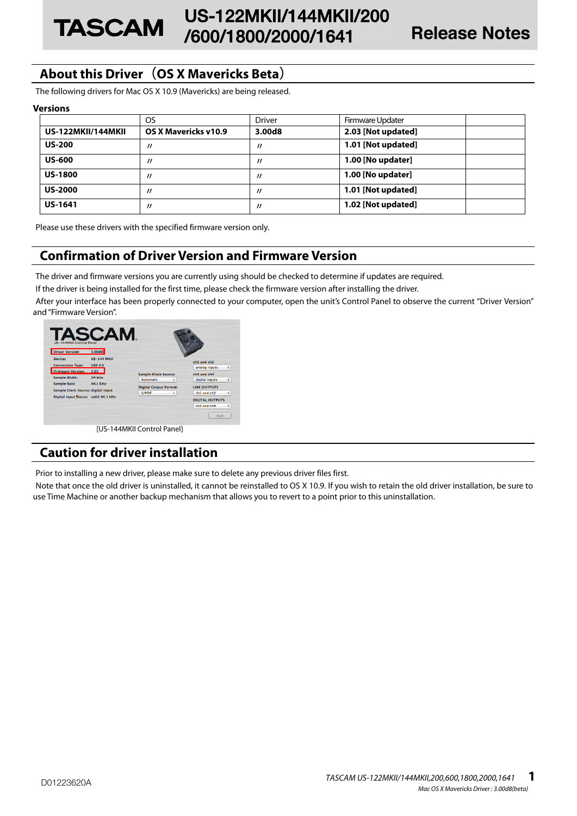# **About this Driver(OS X Mavericks Beta)**

**TASCAM** 

The following drivers for Mac OS X 10.9 (Mavericks) are being released.

### **Versions**

|                    | <b>OS</b>            | <b>Driver</b>     | Firmware Updater   |
|--------------------|----------------------|-------------------|--------------------|
| US-122MKII/144MKII | OS X Mavericks v10.9 | 3.00d8            | 2.03 [Not updated] |
| <b>US-200</b>      | $^{\prime\prime}$    | $^{\prime\prime}$ | 1.01 [Not updated] |
| <b>US-600</b>      | $^{\prime\prime}$    | $^{\prime\prime}$ | 1.00 [No updater]  |
| <b>US-1800</b>     | $^{\prime\prime}$    | $^{\prime\prime}$ | 1.00 [No updater]  |
| <b>US-2000</b>     | $^{\prime\prime}$    | "                 | 1.01 [Not updated] |
| <b>US-1641</b>     | 11                   | "                 | 1.02 [Not updated] |

Please use these drivers with the specified firmware version only.

## **Confirmation of Driver Version and Firmware Version**

The driver and firmware versions you are currently using should be checked to determine if updates are required.

If the driver is being installed for the first time, please check the firmware version after installing the driver.

After your interface has been properly connected to your computer, open the unit's Control Panel to observe the current "Driver Version" and "Firmware Version".

| <b>Driver Version:</b>               | 3.00d8             |                                                      |                                    |                        |   |
|--------------------------------------|--------------------|------------------------------------------------------|------------------------------------|------------------------|---|
| Device:                              | <b>US-144 MKII</b> |                                                      |                                    | ch1 and ch2            |   |
| <b>Connection Type:</b>              | <b>USB 2.0</b>     |                                                      |                                    | analog inputs          | ÷ |
| <b>Firmware Version:</b>             | 2.03               |                                                      | ch3 and ch4<br>digital inputs<br>٠ |                        |   |
| Sample Width:                        | 24 bits            | <b>Sample Clock Source:</b><br><b>Automatic</b><br>÷ |                                    |                        |   |
| <b>Sample Rate:</b>                  | 44.1 kHz           |                                                      |                                    |                        |   |
| Sample Clock Source: digital input   |                    | <b>Digital Output Format:</b>                        | <b>LINE OUTPUTS</b>                |                        |   |
|                                      |                    | <b>S/PDIF</b>                                        | ÷                                  | ch1 and ch2            | ÷ |
| Digital Input Status: valid 44.1 kHz |                    |                                                      |                                    | <b>DIGITAL OUTPUTS</b> |   |
|                                      |                    |                                                      |                                    | ch3 and ch4            | ÷ |

# **Caution for driver installation**

Prior to installing a new driver, please make sure to delete any previous driver files first.

Note that once the old driver is uninstalled, it cannot be reinstalled to OS X 10.9. If you wish to retain the old driver installation, be sure to use Time Machine or another backup mechanism that allows you to revert to a point prior to this uninstallation.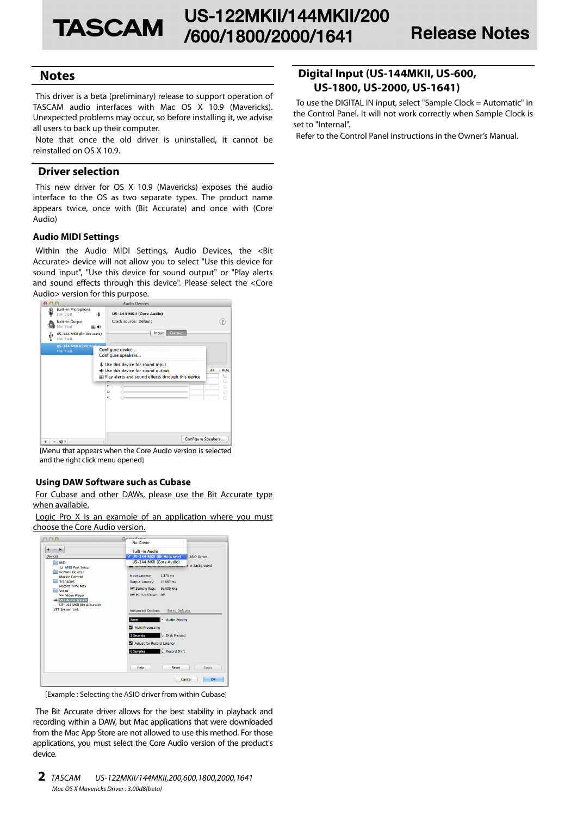## **Notes**

This driver is a beta (preliminary) release to support operation of TASCAM audio interfaces with Mac OS X 10.9 (Mavericks). Unexpected problems may occur, so before installing it, we advise all users to back up their computer.

Note that once the old driver is uninstalled, it cannot be reinstalled on OS X 10.9.

## **Driver selection**

This new driver for OS X 10.9 (Mavericks) exposes the audio interface to the OS as two separate types. The product name appears twice, once with (Bit Accurate) and once with (Core Audio)

### **Audio MIDI Settings**

Within the Audio MIDI Settings, Audio Devices, the <Bit Accurate> device will not allow you to select "Use this device for sound input", "Use this device for sound output" or "Play alerts and sound effects through this device". Please select the <Core Audio> version for this purpose.



[Menu that appears when the Core Audio version is selected and the right click menu opened]

## **Using DAW Software such as Cubase**

For Cubase and other DAWs, please use the Bit Accurate type when available.

Logic Pro X is an example of an application where you must choose the Core Audio version.



[Example : Selecting the ASIO driver from within Cubase]

The Bit Accurate driver allows for the best stability in playback and recording within a DAW, but Mac applications that were downloaded from the Mac App Store are not allowed to use this method. For those applications, you must select the Core Audio version of the product's device.

## **Digital Input (US-144MKII, US-600, US-1800, US-2000, US-1641)**

To use the DIGITAL IN input, select "Sample Clock = Automatic" in the Control Panel. It will not work correctly when Sample Clock is set to "Internal".

Refer to the Control Panel instructions in the Owner's Manual.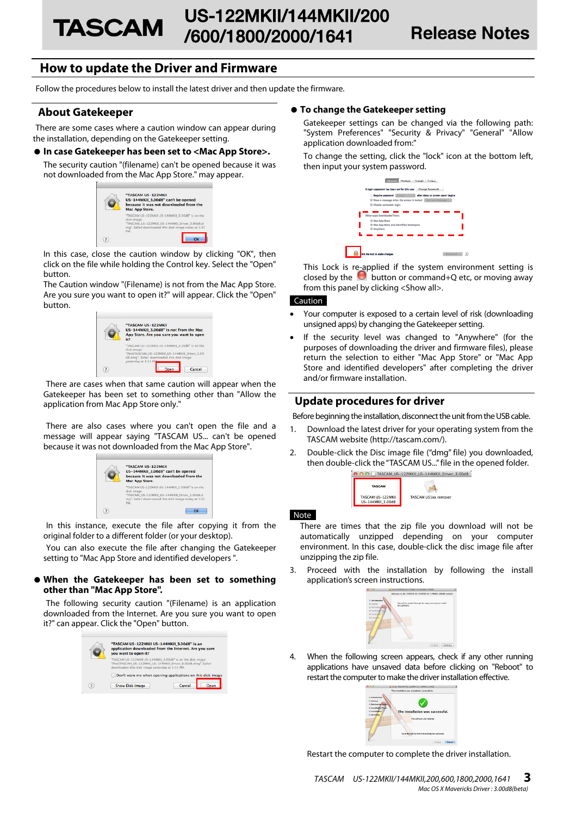# **How to update the Driver and Firmware**

Follow the procedures below to install the latest driver and then update the firmware.

## **About Gatekeeper**

There are some cases where a caution window can appear during the installation, depending on the Gatekeeper setting.

### 0 **In case Gatekeeper has been set to <Mac App Store>.**

The security caution "(filename) can't be opened because it was not downloaded from the Mac App Store." may appear.



In this case, close the caution window by clicking "OK", then click on the file while holding the Control key. Select the "Open" button.

The Caution window "(Filename) is not from the Mac App Store. Are you sure you want to open it?" will appear. Click the "Open" button.



There are cases when that same caution will appear when the Gatekeeper has been set to something other than "Allow the application from Mac App Store only."

There are also cases where you can't open the file and a message will appear saying "TASCAM US... can't be opened because it was not downloaded from the Mac App Store".



In this instance, execute the file after copying it from the original folder to a different folder (or your desktop).

You can also execute the file after changing the Gatekeeper setting to "Mac App Store and identified developers ".

### 0 **When the Gatekeeper has been set to something other than "Mac App Store".**

The following security caution "(Filename) is an application downloaded from the Internet. Are you sure you want to open it?" can appear. Click the "Open" button.



### 0 **To change the Gatekeeper setting**

Gatekeeper settings can be changed via the following path: "System Preferences" "Security & Privacy" "General" "Allow application downloaded from:"

To change the setting, click the "lock" icon at the bottom left, then input your system password.



This Lock is re-applied if the system environment setting is closed by the **button or command+Q** etc, or moving away from this panel by clicking <Show all>.

#### Caution

- Your computer is exposed to a certain level of risk (downloading unsigned apps) by changing the Gatekeeper setting.
- If the security level was changed to "Anywhere" (for the purposes of downloading the driver and firmware files), please return the selection to either "Mac App Store" or "Mac App Store and identified developers" after completing the driver and/or firmware installation.

### **Update procedures for driver**

Before beginning the installation, disconnect the unit from the USB cable.

- 1. Download the latest driver for your operating system from the TASCAM website (http://tascam.com/).
- 2. Double-click the Disc image file ("dmg" file) you downloaded, then double-click the "TASCAM US..." file in the opened folder.



#### Note

There are times that the zip file you download will not be automatically unzipped depending on your computer environment. In this case, double-click the disc image file after unzipping the zip file.

3. Proceed with the installation by following the install application's screen instructions.



4. When the following screen appears, check if any other running applications have unsaved data before clicking on "Reboot" to restart the computer to make the driver installation effective.



Restart the computer to complete the driver installation.